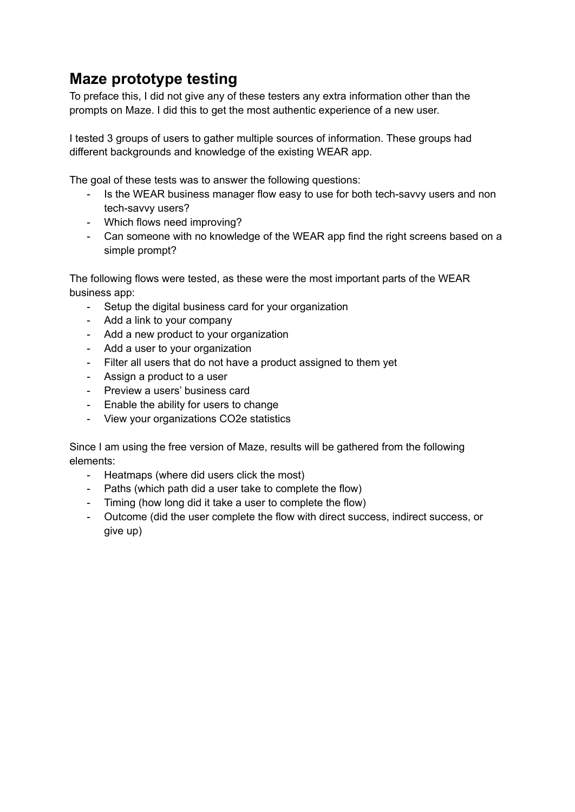# **Maze prototype testing**

To preface this, I did not give any of these testers any extra information other than the prompts on Maze. I did this to get the most authentic experience of a new user.

I tested 3 groups of users to gather multiple sources of information. These groups had different backgrounds and knowledge of the existing WEAR app.

The goal of these tests was to answer the following questions:

- Is the WEAR business manager flow easy to use for both tech-savvy users and non tech-savvy users?
- Which flows need improving?
- Can someone with no knowledge of the WEAR app find the right screens based on a simple prompt?

The following flows were tested, as these were the most important parts of the WEAR business app:

- Setup the digital business card for your organization
- Add a link to your company
- Add a new product to your organization
- Add a user to your organization
- Filter all users that do not have a product assigned to them yet
- Assign a product to a user
- Preview a users' business card
- Enable the ability for users to change
- View your organizations CO2e statistics

Since I am using the free version of Maze, results will be gathered from the following elements:

- Heatmaps (where did users click the most)
- Paths (which path did a user take to complete the flow)
- Timing (how long did it take a user to complete the flow)
- Outcome (did the user complete the flow with direct success, indirect success, or give up)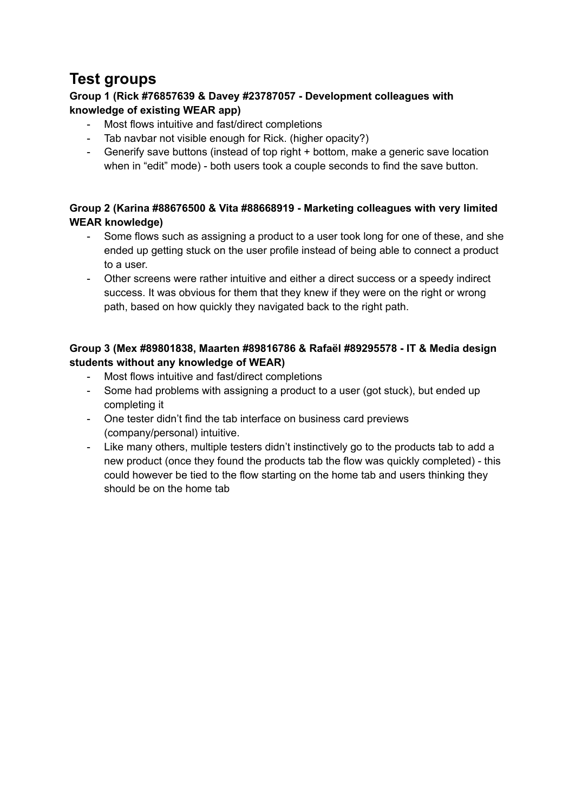# **Test groups**

#### **Group 1 (Rick #76857639 & Davey #23787057 - Development colleagues with knowledge of existing WEAR app)**

- Most flows intuitive and fast/direct completions
- Tab navbar not visible enough for Rick. (higher opacity?)
- Generify save buttons (instead of top right + bottom, make a generic save location when in "edit" mode) - both users took a couple seconds to find the save button.

#### **Group 2 (Karina #88676500 & Vita #88668919 - Marketing colleagues with very limited WEAR knowledge)**

- Some flows such as assigning a product to a user took long for one of these, and she ended up getting stuck on the user profile instead of being able to connect a product to a user.
- Other screens were rather intuitive and either a direct success or a speedy indirect success. It was obvious for them that they knew if they were on the right or wrong path, based on how quickly they navigated back to the right path.

#### **Group 3 (Mex #89801838, Maarten #89816786 & Rafaël #89295578 - IT & Media design students without any knowledge of WEAR)**

- Most flows intuitive and fast/direct completions
- Some had problems with assigning a product to a user (got stuck), but ended up completing it
- One tester didn't find the tab interface on business card previews (company/personal) intuitive.
- Like many others, multiple testers didn't instinctively go to the products tab to add a new product (once they found the products tab the flow was quickly completed) - this could however be tied to the flow starting on the home tab and users thinking they should be on the home tab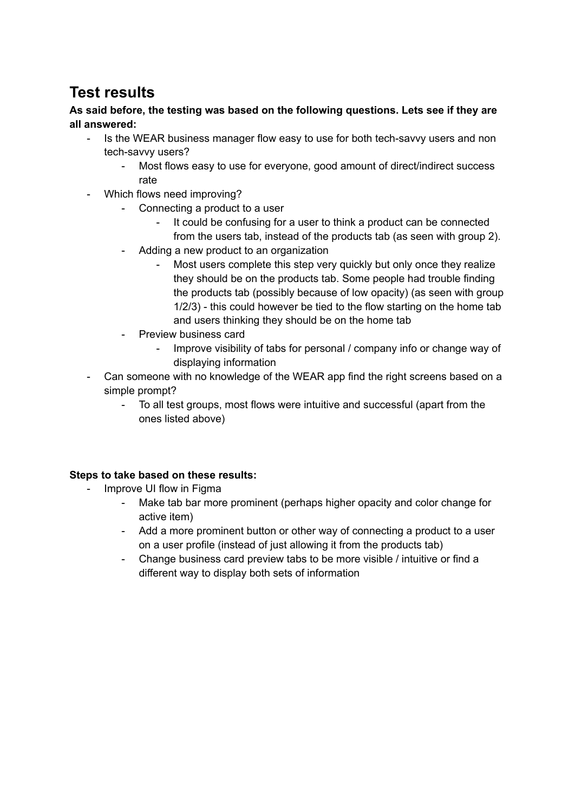# **Test results**

**As said before, the testing was based on the following questions. Lets see if they are all answered:**

- Is the WEAR business manager flow easy to use for both tech-savvy users and non tech-savvy users?
	- Most flows easy to use for everyone, good amount of direct/indirect success rate
- Which flows need improving?
	- Connecting a product to a user
		- It could be confusing for a user to think a product can be connected from the users tab, instead of the products tab (as seen with group 2).
	- Adding a new product to an organization
		- Most users complete this step very quickly but only once they realize they should be on the products tab. Some people had trouble finding the products tab (possibly because of low opacity) (as seen with group 1/2/3) - this could however be tied to the flow starting on the home tab and users thinking they should be on the home tab
	- Preview business card
		- Improve visibility of tabs for personal / company info or change way of displaying information
- Can someone with no knowledge of the WEAR app find the right screens based on a simple prompt?
	- To all test groups, most flows were intuitive and successful (apart from the ones listed above)

#### **Steps to take based on these results:**

- Improve UI flow in Figma
	- Make tab bar more prominent (perhaps higher opacity and color change for active item)
	- Add a more prominent button or other way of connecting a product to a user on a user profile (instead of just allowing it from the products tab)
	- Change business card preview tabs to be more visible / intuitive or find a different way to display both sets of information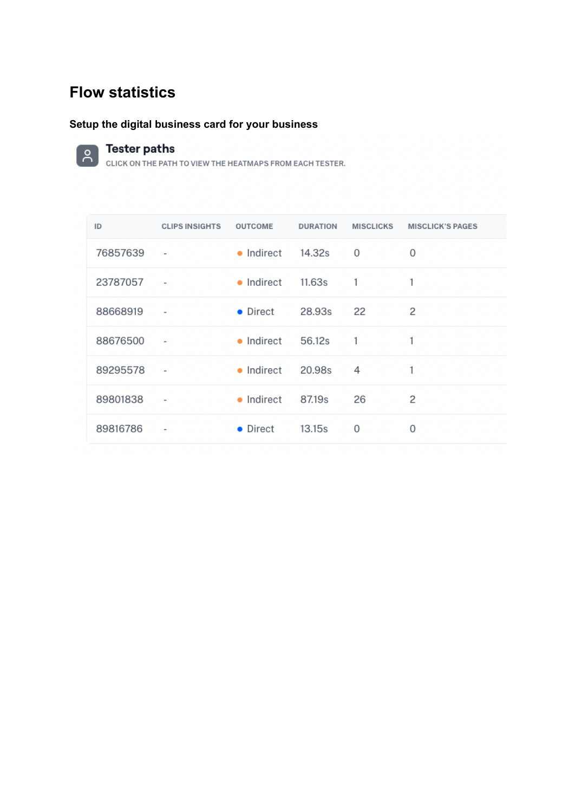# **Flow statistics**

## **Setup the digital business card for your business**



## **Tester paths**

| ID       | <b>CLIPS INSIGHTS</b>    | <b>OUTCOME</b>              | <b>DURATION</b> | <b>MISCLICKS</b> | <b>MISCLICK'S PAGES</b> |
|----------|--------------------------|-----------------------------|-----------------|------------------|-------------------------|
| 76857639 | $\overline{\phantom{a}}$ | $\bullet$ Indirect 14.32s   |                 | 0                | 0                       |
| 23787057 | $\overline{\phantom{a}}$ | • Indirect                  | 11.63s          | $\blacksquare$   | 1                       |
| 88668919 | $\overline{\phantom{a}}$ | • Direct                    | 28.93s          | 22               | 2                       |
| 88676500 | $\overline{\phantom{a}}$ | $\bullet$ Indirect 56.12s 1 |                 |                  | 1                       |
| 89295578 | $\overline{\phantom{a}}$ | $\bullet$ Indirect          | 20.98s          | 4                | 1                       |
| 89801838 | $\overline{\phantom{a}}$ | • Indirect 87.19s           |                 | 26               | 2                       |
| 89816786 | $\overline{\phantom{a}}$ | • Direct                    | 13.15s          | 0                | 0                       |
|          |                          |                             |                 |                  |                         |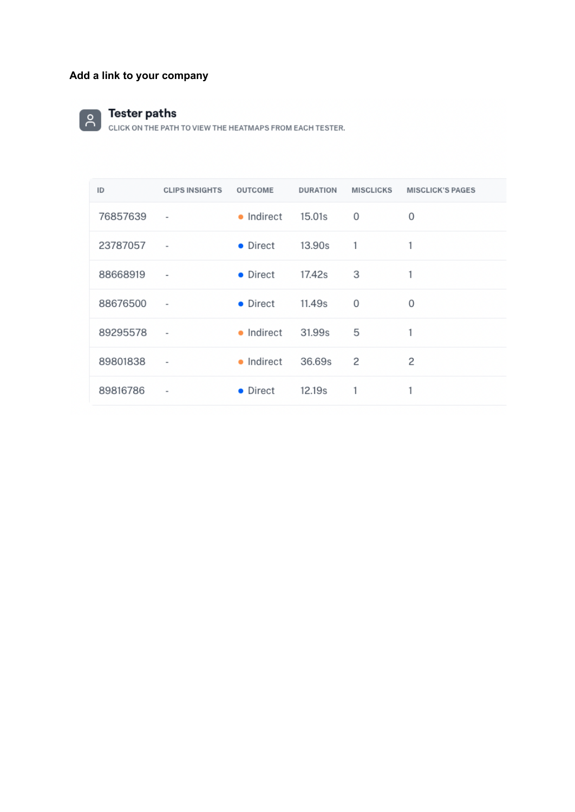## **Add a link to your company**



## **Tester paths**

| ID       | <b>CLIPS INSIGHTS</b>    | <b>OUTCOME</b> | <b>DURATION</b>    | <b>MISCLICKS</b> | <b>MISCLICK'S PAGES</b> |
|----------|--------------------------|----------------|--------------------|------------------|-------------------------|
| 76857639 | $\overline{\phantom{a}}$ | • Indirect     | 15.01s             | 0                | 0                       |
| 23787057 | $\overline{\phantom{a}}$ | • Direct       | 13.90s             | 1.               | 1                       |
| 88668919 | $\overline{\phantom{a}}$ | • Direct       | 17.42s             | 3                |                         |
| 88676500 | $\overline{\phantom{a}}$ | • Direct       | 11.49s             | 0                | 0                       |
| 89295578 | $\blacksquare$           | • Indirect     | 31.99s             | 5                | 1                       |
| 89801838 | $\overline{\phantom{a}}$ | • Indirect     | 36.69s             | 2                | 2                       |
| 89816786 | $\overline{\phantom{a}}$ | • Direct       | 12.19 <sub>s</sub> | 1                | 1                       |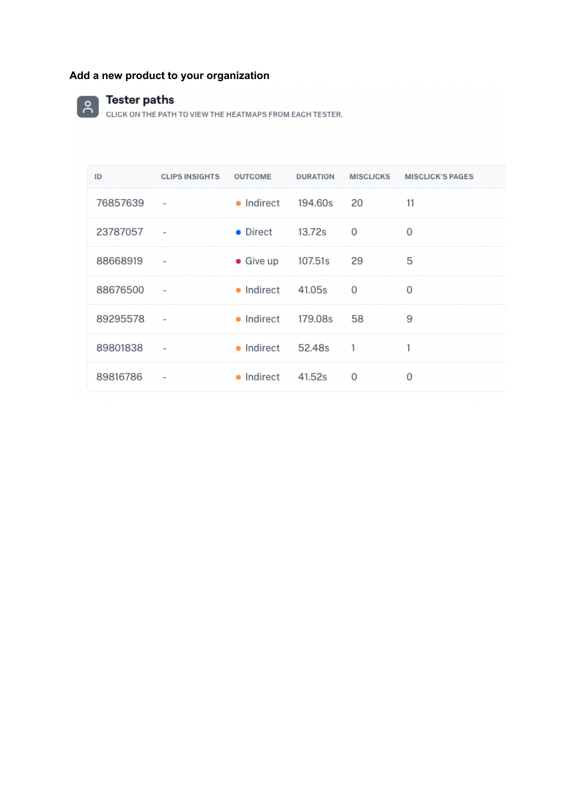# **Add a new product to your organization**

# **CONTERNATE PATH**

| ID       | <b>CLIPS INSIGHTS</b>    | OUTCOME           | <b>DURATION</b> | <b>MISCLICKS</b> | <b>MISCLICK'S PAGES</b> |
|----------|--------------------------|-------------------|-----------------|------------------|-------------------------|
| 76857639 | $\overline{\phantom{a}}$ | • Indirect        | 194.60s         | 20               | 11                      |
| 23787057 | $\overline{\phantom{a}}$ | • Direct          | 13.72s          | 0                | 0                       |
| 88668919 | $\overline{\phantom{a}}$ | $\bullet$ Give up | 107.51s         | 29               | 5                       |
| 88676500 | $\overline{\phantom{a}}$ | • Indirect        | 41.05s          | $\Omega$         | 0                       |
| 89295578 | $\overline{\phantom{a}}$ | • Indirect        | 179.08s         | 58               | 9                       |
| 89801838 | $\overline{\phantom{a}}$ | • Indirect        | 52.48s          | $\overline{1}$   | 1                       |
| 89816786 | $\,$ $\,$                | • Indirect        | 41.52s          | 0                | 0                       |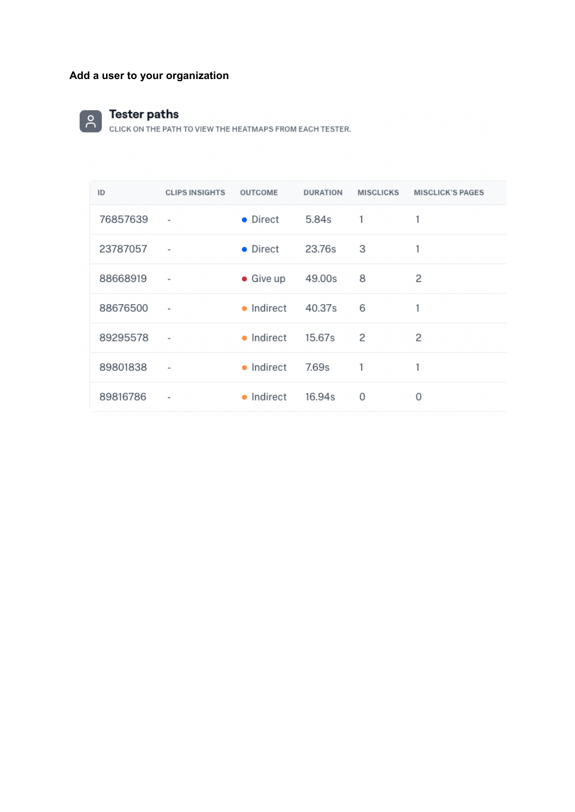## **Add a user to your organization**



Tester paths<br>click on the path to view the heatmaps from each tester.

| ID       | <b>CLIPS INSIGHTS</b>    | <b>OUTCOME</b>              | <b>DURATION</b> | <b>MISCLICKS</b> | <b>MISCLICK'S PAGES</b> |
|----------|--------------------------|-----------------------------|-----------------|------------------|-------------------------|
| 76857639 | $\bar{ }$                | • Direct                    | 5.84s           | 1                | 1                       |
| 23787057 | $\overline{\phantom{a}}$ | • Direct                    | 23.76s          | 3                | 1                       |
| 88668919 | $\overline{\phantom{a}}$ | $\bullet$ Give up           | 49.00s          | 8                | 2                       |
| 88676500 | $\overline{\phantom{a}}$ | $\bullet$ Indirect $40.37s$ |                 | 6                |                         |
| 89295578 | $\overline{\phantom{a}}$ | • Indirect                  | 15.67s          | 2                | 2                       |
| 89801838 | $\overline{\phantom{a}}$ | • Indirect                  | 7.69s           |                  |                         |
| 89816786 | $\overline{\phantom{a}}$ | • Indirect                  | 16.94s          | 0                | 0                       |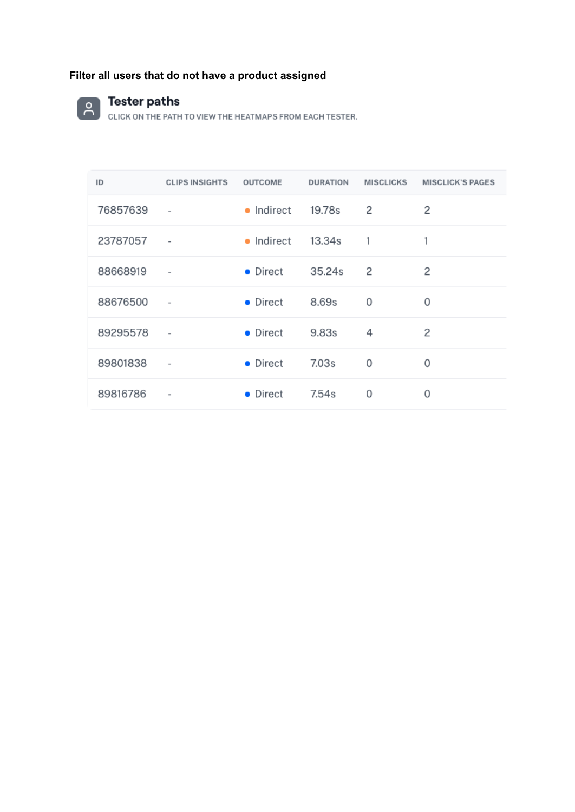# **Filter all users that do not have a product assigned**



#### **Tester paths**

| ID       | <b>CLIPS INSIGHTS</b>    | <b>OUTCOME</b> | <b>DURATION</b> | <b>MISCLICKS</b> | <b>MISCLICK'S PAGES</b> |
|----------|--------------------------|----------------|-----------------|------------------|-------------------------|
| 76857639 | $\overline{\phantom{a}}$ | • Indirect     | 19.78s          | 2                | 2                       |
| 23787057 | $\overline{\phantom{a}}$ | • Indirect     | 13.34s          | 1                | 1                       |
| 88668919 | $\overline{\phantom{a}}$ | • Direct       | 35.24s          | 2                | 2                       |
| 88676500 | $\overline{\phantom{a}}$ | • Direct       | 8.69s           | 0                | 0                       |
| 89295578 | $\overline{\phantom{a}}$ | • Direct       | 9.83s           | 4                | 2                       |
| 89801838 | $\overline{\phantom{a}}$ | • Direct       | 7.03s           | 0                | 0                       |
| 89816786 | $\overline{\phantom{a}}$ | • Direct       | 7.54s           | 0                | 0                       |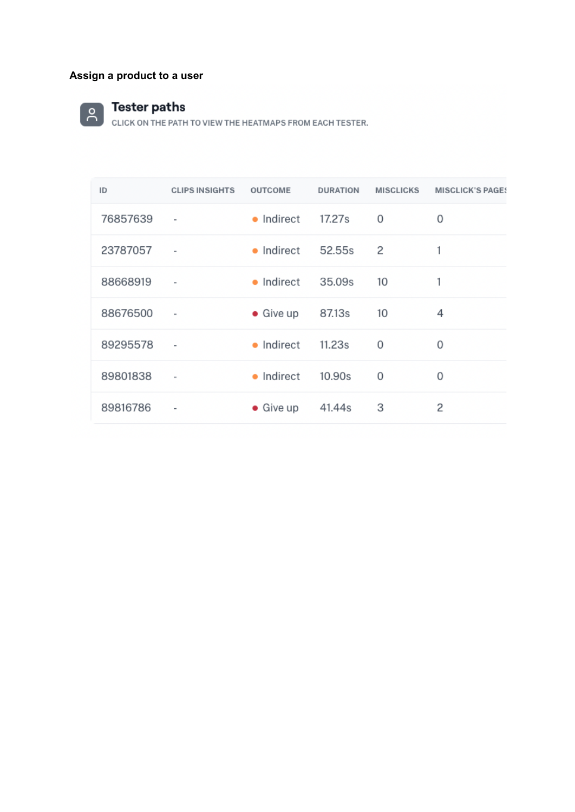## **Assign a product to a user**



Tester paths<br>CLICK ON THE PATH TO VIEW THE HEATMAPS FROM EACH TESTER.

| ID       | <b>CLIPS INSIGHTS</b> | <b>OUTCOME</b>    | <b>DURATION</b> | <b>MISCLICKS</b> | <b>MISCLICK'S PAGES</b> |
|----------|-----------------------|-------------------|-----------------|------------------|-------------------------|
| 76857639 | $\qquad \qquad =$     | • Indirect        | 17.27s          | 0                | 0                       |
| 23787057 | $\qquad \qquad =$     | • Indirect        | 52.55s          | 2                | 1                       |
| 88668919 | $\qquad \qquad =$     | • Indirect        | 35.09s          | 10               | 1                       |
| 88676500 | $\qquad \qquad =$     | $\bullet$ Give up | 87.13s          | 10               | 4                       |
| 89295578 | $\bar{}$              | • Indirect        | 11.23s          | 0                | 0                       |
| 89801838 | $\qquad \qquad =$     | • Indirect        | 10.90s          | 0                | 0                       |
| 89816786 | $\qquad \qquad =$     | $\bullet$ Give up | 41.44s          | 3                | 2                       |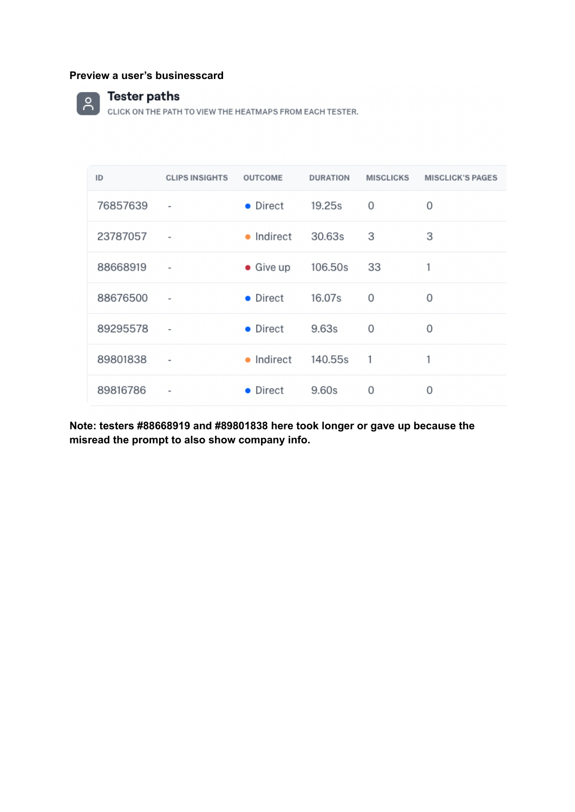#### **Preview a user's businesscard**



**CONTREST CONTREPATH TO VIEW THE HEATMAPS FROM EACH TESTER.** 

| ID         | <b>CLIPS INSIGHTS</b>    | <b>OUTCOME</b>               | <b>DURATION</b> | <b>MISCLICKS</b> | <b>MISCLICK'S PAGES</b> |
|------------|--------------------------|------------------------------|-----------------|------------------|-------------------------|
| 76857639   | $\overline{\phantom{a}}$ | $\bullet$ Direct             | 19.25s          | 0                | 0                       |
| 23787057   | $\sim$ 100 $\mu$         | • Indirect 30.63s            |                 | 3                | 3                       |
| 88668919   | $\sim$ $\sim$            | $\bullet$ Give up            | 106.50s         | 33               | 1                       |
| 88676500   | $\sim$                   | $\bullet$ Direct             | 16.07s          | 0                | 0                       |
| 89295578 - |                          | • Direct 9.63s               |                 | $\Omega$         | 0                       |
| 89801838   | $\overline{\phantom{a}}$ | $\bullet$ Indirect 140.55s 1 |                 |                  | 1                       |
| 89816786   | $\overline{\phantom{a}}$ | • Direct                     | 9.60s           | 0                | 0                       |

**Note: testers #88668919 and #89801838 here took longer or gave up because the misread the prompt to also show company info.**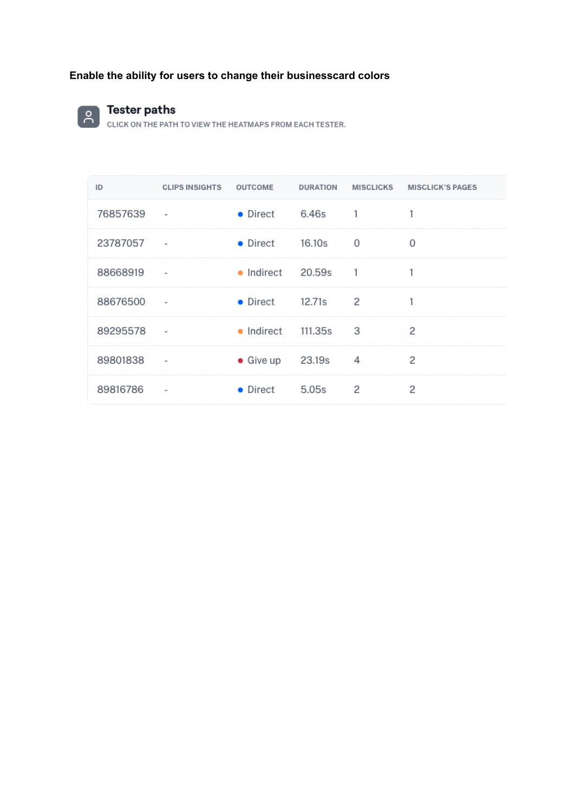## **Enable the ability for users to change their businesscard colors**



## **Tester paths**

| ID       | <b>CLIPS INSIGHTS</b>    | <b>OUTCOME</b>     | <b>DURATION</b> | MISCLICKS | <b>MISCLICK'S PAGES</b> |
|----------|--------------------------|--------------------|-----------------|-----------|-------------------------|
| 76857639 | $\bar{ }$                | • Direct           | 6.46s           | 1         | 1                       |
| 23787057 | $\overline{\phantom{a}}$ | • Direct           | 16.10s          | 0         | 0                       |
| 88668919 | $\bar{\phantom{a}}$      | $\bullet$ Indirect | 20.59s          | 1         | 1                       |
| 88676500 | $\overline{\phantom{a}}$ | • Direct           | 12.71s          | 2         | 1                       |
| 89295578 | $\overline{\phantom{a}}$ | • Indirect         | 111.35s         | 3         | 2                       |
| 89801838 | $\overline{\phantom{a}}$ | $\bullet$ Give up  | 23.19s          | 4         | 2                       |
| 89816786 | $\overline{\phantom{a}}$ | • Direct           | 5.05s           | 2         | 2                       |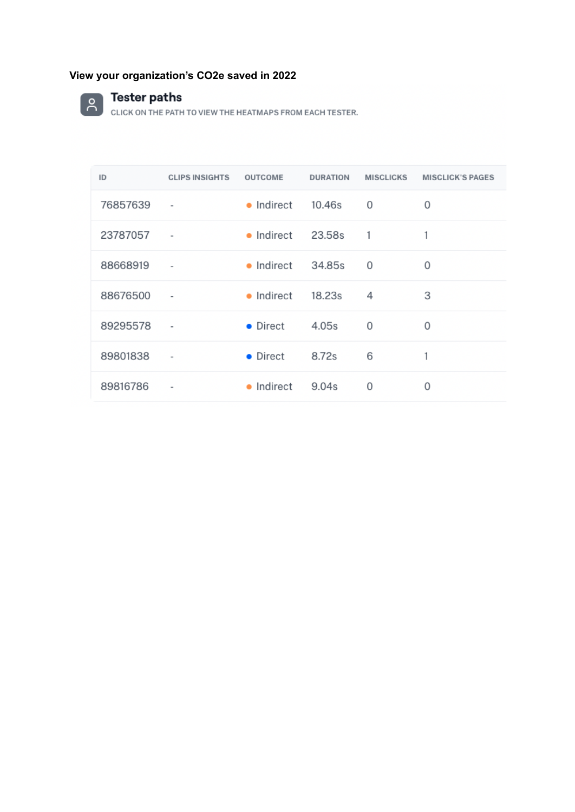## **View your organization's CO2e saved in 2022**



CONTRIBUTION THE PATH TO VIEW THE HEATMAPS FROM EACH TESTER.

| ID       | <b>CLIPS INSIGHTS</b>        | <b>OUTCOME</b> | <b>DURATION</b> | <b>MISCLICKS</b> | <b>MISCLICK'S PAGES</b> |
|----------|------------------------------|----------------|-----------------|------------------|-------------------------|
| 76857639 | $\overline{\phantom{a}}$     | • Indirect     | 10.46s          | 0                | 0                       |
| 23787057 |                              | • Indirect     | 23.58s          | 1                |                         |
| 88668919 | $\overline{\phantom{a}}$     | • Indirect     | 34.85s          | 0                | 0                       |
| 88676500 | $\overline{\phantom{a}}$     | • Indirect     | 18.23s          | 4                | 3                       |
| 89295578 | $\overline{\phantom{a}}$     | • Direct       | 4.05s           | 0                | 0                       |
| 89801838 | $\overline{\phantom{a}}$     | • Direct       | 8.72s           | 6                |                         |
| 89816786 | $\qquad \qquad \blacksquare$ | • Indirect     | 9.04s           | 0                | 0                       |